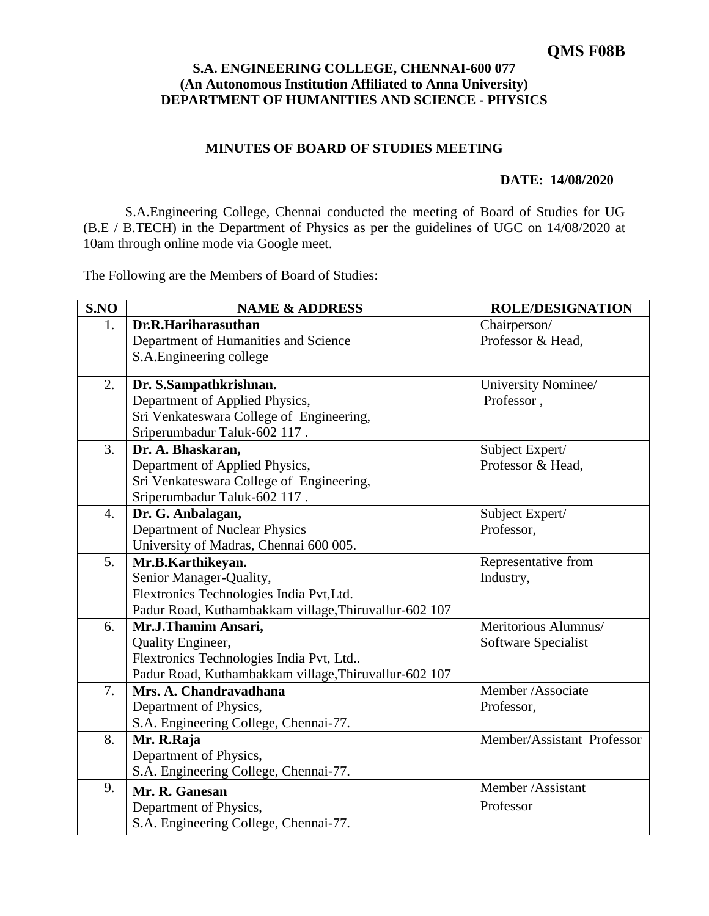## **S.A. ENGINEERING COLLEGE, CHENNAI-600 077 (An Autonomous Institution Affiliated to Anna University) DEPARTMENT OF HUMANITIES AND SCIENCE - PHYSICS**

## **MINUTES OF BOARD OF STUDIES MEETING**

## **DATE: 14/08/2020**

S.A.Engineering College, Chennai conducted the meeting of Board of Studies for UG (B.E / B.TECH) in the Department of Physics as per the guidelines of UGC on 14/08/2020 at 10am through online mode via Google meet.

The Following are the Members of Board of Studies:

| S.NO | <b>NAME &amp; ADDRESS</b>                             | <b>ROLE/DESIGNATION</b>    |
|------|-------------------------------------------------------|----------------------------|
| 1.   | Dr.R.Hariharasuthan                                   | Chairperson/               |
|      | Department of Humanities and Science                  | Professor & Head,          |
|      | S.A. Engineering college                              |                            |
| 2.   | Dr. S.Sampathkrishnan.                                | University Nominee/        |
|      | Department of Applied Physics,                        | Professor,                 |
|      | Sri Venkateswara College of Engineering,              |                            |
|      | Sriperumbadur Taluk-602 117.                          |                            |
| 3.   | Dr. A. Bhaskaran,                                     | Subject Expert/            |
|      | Department of Applied Physics,                        | Professor & Head,          |
|      | Sri Venkateswara College of Engineering,              |                            |
|      | Sriperumbadur Taluk-602 117.                          |                            |
| 4.   | Dr. G. Anbalagan,                                     | Subject Expert/            |
|      | Department of Nuclear Physics                         | Professor,                 |
|      | University of Madras, Chennai 600 005.                |                            |
| 5.   | Mr.B.Karthikeyan.                                     | Representative from        |
|      | Senior Manager-Quality,                               | Industry,                  |
|      | Flextronics Technologies India Pvt, Ltd.              |                            |
|      | Padur Road, Kuthambakkam village, Thiruvallur-602 107 |                            |
| 6.   | Mr.J.Thamim Ansari,                                   | Meritorious Alumnus/       |
|      | Quality Engineer,                                     | Software Specialist        |
|      | Flextronics Technologies India Pvt, Ltd               |                            |
|      | Padur Road, Kuthambakkam village, Thiruvallur-602 107 |                            |
| 7.   | Mrs. A. Chandravadhana                                | Member/Associate           |
|      | Department of Physics,                                | Professor,                 |
|      | S.A. Engineering College, Chennai-77.                 |                            |
| 8.   | Mr. R.Raja                                            | Member/Assistant Professor |
|      | Department of Physics,                                |                            |
|      | S.A. Engineering College, Chennai-77.                 |                            |
| 9.   | Mr. R. Ganesan                                        | Member /Assistant          |
|      | Department of Physics,                                | Professor                  |
|      | S.A. Engineering College, Chennai-77.                 |                            |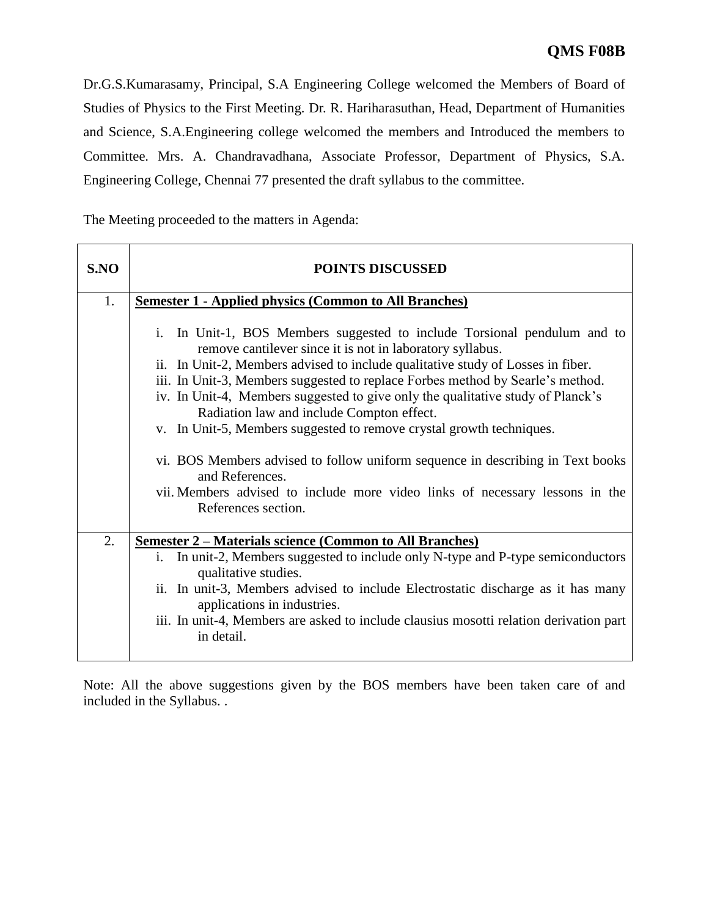Dr.G.S.Kumarasamy, Principal, S.A Engineering College welcomed the Members of Board of Studies of Physics to the First Meeting. Dr. R. Hariharasuthan, Head, Department of Humanities and Science, S.A.Engineering college welcomed the members and Introduced the members to Committee. Mrs. A. Chandravadhana, Associate Professor, Department of Physics, S.A. Engineering College, Chennai 77 presented the draft syllabus to the committee.

The Meeting proceeded to the matters in Agenda:

| S.NO | <b>POINTS DISCUSSED</b>                                                                                                                                                                                                                                                                                                                                                                                                                       |  |  |  |  |
|------|-----------------------------------------------------------------------------------------------------------------------------------------------------------------------------------------------------------------------------------------------------------------------------------------------------------------------------------------------------------------------------------------------------------------------------------------------|--|--|--|--|
| 1.   | <b>Semester 1 - Applied physics (Common to All Branches)</b>                                                                                                                                                                                                                                                                                                                                                                                  |  |  |  |  |
|      | In Unit-1, BOS Members suggested to include Torsional pendulum and to<br>i.<br>remove cantilever since it is not in laboratory syllabus.<br>ii. In Unit-2, Members advised to include qualitative study of Losses in fiber.<br>iii. In Unit-3, Members suggested to replace Forbes method by Searle's method.<br>iv. In Unit-4, Members suggested to give only the qualitative study of Planck's<br>Radiation law and include Compton effect. |  |  |  |  |
|      | v. In Unit-5, Members suggested to remove crystal growth techniques.                                                                                                                                                                                                                                                                                                                                                                          |  |  |  |  |
|      | vi. BOS Members advised to follow uniform sequence in describing in Text books<br>and References.<br>vii. Members advised to include more video links of necessary lessons in the<br>References section.                                                                                                                                                                                                                                      |  |  |  |  |
| 2.   | <b><u>Semester 2 – Materials science (Common to All Branches)</u></b>                                                                                                                                                                                                                                                                                                                                                                         |  |  |  |  |
|      | i. In unit-2, Members suggested to include only N-type and P-type semiconductors<br>qualitative studies.<br>ii. In unit-3, Members advised to include Electrostatic discharge as it has many<br>applications in industries.<br>iii. In unit-4, Members are asked to include clausius mosotti relation derivation part<br>in detail.                                                                                                           |  |  |  |  |

Note: All the above suggestions given by the BOS members have been taken care of and included in the Syllabus. .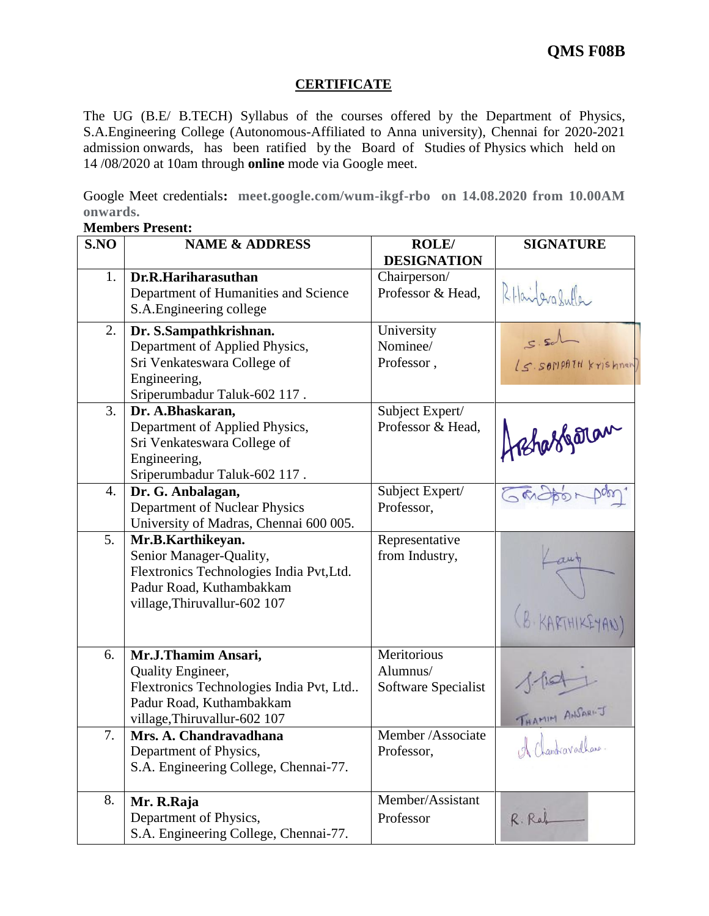## **CERTIFICATE**

The UG (B.E/ B.TECH) Syllabus of the courses offered by the Department of Physics, S.A.Engineering College (Autonomous-Affiliated to Anna university), Chennai for 2020-2021 admission onwards, has been ratified by the Board of Studies of Physics which held on 14 /08/2020 at 10am through **online** mode via Google meet.

Google Meet credentials**: meet.google.com/wum-ikgf-rbo on 14.08.2020 from 10.00AM onwards.** 

| S.NO | <b>NAME &amp; ADDRESS</b>                                           | <b>ROLE</b> /       | <b>SIGNATURE</b>     |
|------|---------------------------------------------------------------------|---------------------|----------------------|
|      |                                                                     | <b>DESIGNATION</b>  |                      |
| 1.   | Dr.R.Hariharasuthan                                                 | Chairperson/        |                      |
|      | Department of Humanities and Science                                | Professor & Head,   | R. Hailerg Suffer    |
|      | S.A. Engineering college                                            |                     |                      |
| 2.   | Dr. S.Sampathkrishnan.                                              | University          | $s.$ sal             |
|      | Department of Applied Physics,                                      | Nominee/            |                      |
|      | Sri Venkateswara College of                                         | Professor,          | LS. SOMPATH Krishnan |
|      | Engineering,                                                        |                     |                      |
|      | Sriperumbadur Taluk-602 117.                                        |                     |                      |
| 3.   | Dr. A.Bhaskaran,                                                    | Subject Expert/     |                      |
|      | Department of Applied Physics,                                      | Professor & Head,   | Hishassportan        |
|      | Sri Venkateswara College of                                         |                     |                      |
|      | Engineering,<br>Sriperumbadur Taluk-602 117.                        |                     |                      |
| 4.   | Dr. G. Anbalagan,                                                   | Subject Expert/     |                      |
|      | Department of Nuclear Physics                                       | Professor,          | こむしもの                |
|      | University of Madras, Chennai 600 005.                              |                     |                      |
| 5.   | Mr.B.Karthikeyan.                                                   | Representative      |                      |
|      | Senior Manager-Quality,                                             | from Industry,      |                      |
|      | Flextronics Technologies India Pvt, Ltd.                            |                     |                      |
|      | Padur Road, Kuthambakkam                                            |                     |                      |
|      | village, Thiruvallur-602 107                                        |                     |                      |
|      |                                                                     |                     | (B. KARTHIKEYAN)     |
|      |                                                                     |                     |                      |
| 6.   | Mr.J.Thamim Ansari,                                                 | Meritorious         |                      |
|      | Quality Engineer,                                                   | Alumnus/            |                      |
|      | Flextronics Technologies India Pvt, Ltd<br>Padur Road, Kuthambakkam | Software Specialist |                      |
|      | village, Thiruvallur-602 107                                        |                     | THAMIM ANSARI-J      |
| 7.   | Mrs. A. Chandravadhana                                              | Member /Associate   |                      |
|      | Department of Physics,                                              | Professor,          | A Chandravadhana     |
|      | S.A. Engineering College, Chennai-77.                               |                     |                      |
|      |                                                                     |                     |                      |
| 8.   | Mr. R.Raja                                                          | Member/Assistant    |                      |
|      | Department of Physics,                                              | Professor           | R. Raf               |
|      | S.A. Engineering College, Chennai-77.                               |                     |                      |

**Members Present:**